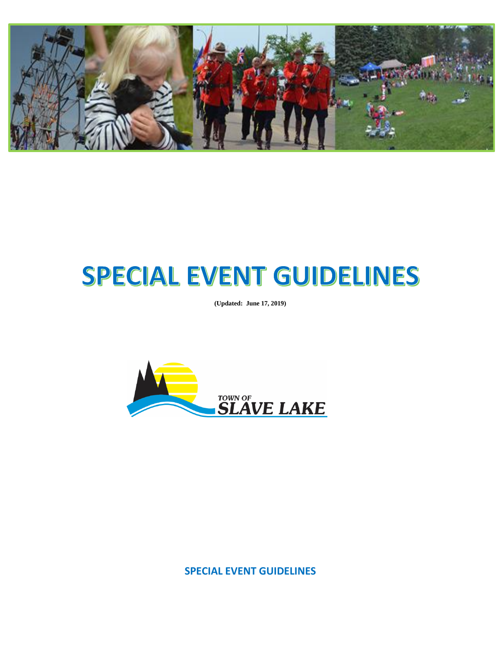

# SPECIAL EVENT GUIDELINES

**(Updated: June 17, 2019)**



**SPECIAL EVENT GUIDELINES**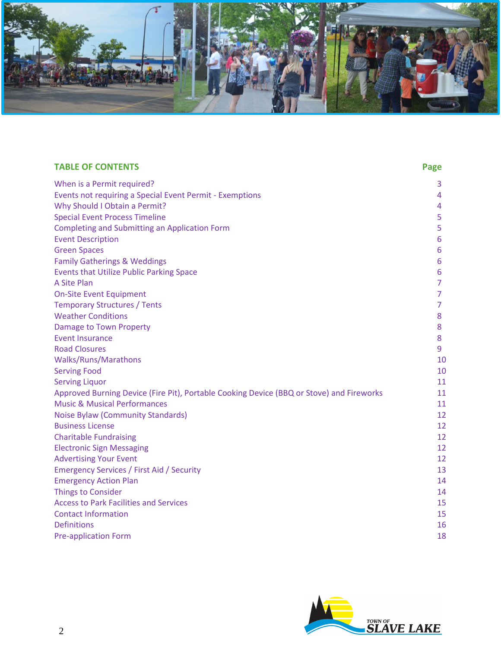

| <b>TABLE OF CONTENTS</b>                                                                 | Page           |
|------------------------------------------------------------------------------------------|----------------|
| When is a Permit required?                                                               | 3.             |
| Events not requiring a Special Event Permit - Exemptions                                 | 4              |
| Why Should I Obtain a Permit?                                                            | 4              |
| <b>Special Event Process Timeline</b>                                                    | 5              |
| <b>Completing and Submitting an Application Form</b>                                     | 5              |
| <b>Event Description</b>                                                                 | 6              |
| <b>Green Spaces</b>                                                                      | 6              |
| <b>Family Gatherings &amp; Weddings</b>                                                  | 6              |
| <b>Events that Utilize Public Parking Space</b>                                          | 6              |
| A Site Plan                                                                              | $\overline{7}$ |
| <b>On-Site Event Equipment</b>                                                           | $\overline{7}$ |
| <b>Temporary Structures / Tents</b>                                                      | $\overline{7}$ |
| <b>Weather Conditions</b>                                                                | 8              |
| <b>Damage to Town Property</b>                                                           | 8              |
| <b>Event Insurance</b>                                                                   | 8              |
| <b>Road Closures</b>                                                                     | 9              |
| <b>Walks/Runs/Marathons</b>                                                              | 10             |
| <b>Serving Food</b>                                                                      | 10             |
| <b>Serving Liquor</b>                                                                    | 11             |
| Approved Burning Device (Fire Pit), Portable Cooking Device (BBQ or Stove) and Fireworks | 11             |
| <b>Music &amp; Musical Performances</b>                                                  | 11             |
| <b>Noise Bylaw (Community Standards)</b>                                                 | 12             |
| <b>Business License</b>                                                                  | 12             |
| <b>Charitable Fundraising</b>                                                            | 12             |
| <b>Electronic Sign Messaging</b>                                                         | 12             |
| <b>Advertising Your Event</b>                                                            | 12             |
| <b>Emergency Services / First Aid / Security</b>                                         | 13             |
| <b>Emergency Action Plan</b>                                                             | 14             |
| <b>Things to Consider</b>                                                                | 14             |
| <b>Access to Park Facilities and Services</b>                                            | 15             |
| <b>Contact Information</b>                                                               | 15             |
| <b>Definitions</b>                                                                       | 16             |
| <b>Pre-application Form</b>                                                              | 18             |

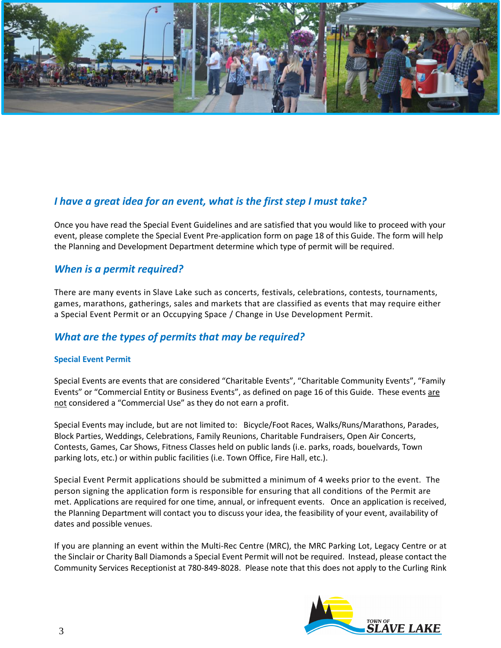

# *I have a great idea for an event, what is the first step I must take?*

Once you have read the [Special](http://www.kelowna.ca/CityPage/Docs/PDFs/Sport%20and%20Recreation/Outdoor%20Events/GENERAL%20CITY%20OF%20KELOWNA%20GUIDELINES%20FOR%20OUTDOOR%20EVENTS%20ON%20CITY%20PROPERTY%20(2).pdf) Event Guidelines and are satisfied that you would like to proceed with your event, please complete the Special Event Pre-application form on page 18 of this Guide. The form will help the Planning and Development Department determine which type of permit will be required.

## *When is a permit required?*

There are many events in Slave Lake such as concerts, festivals, celebrations, contests, tournaments, games, marathons, gatherings, sales and markets that are classified as events that may require either a Special Event Permit or an Occupying Space / Change in Use Development Permit.

## *What are the types of permits that may be required?*

#### **Special Event Permit**

Special Events are events that are considered "Charitable Events", "Charitable Community Events", "Family Events" or "Commercial Entity or Business Events", as defined on page 16 of this Guide. These events are not considered a "Commercial Use" as they do not earn a profit.

Special Events may include, but are not limited to:Bicycle/Foot Races, Walks/Runs/Marathons, Parades, Block Parties, Weddings, Celebrations, Family Reunions, Charitable Fundraisers, Open Air Concerts, Contests, Games, Car Shows, Fitness Classes held on public lands (i.e. parks, roads, bouelvards, Town parking lots, etc.) or within public facilities (i.e. Town Office, Fire Hall, etc.).

Special Event Permit applications should be submitted a minimum of 4 weeks prior to the event. The person signing the application form is responsible for ensuring that all conditions of the Permit are met. Applications are required for one time, annual, or infrequent events. Once an application is received, the Planning Department will contact you to discuss your idea, the feasibility of your event, availability of dates and possible venues.

If you are planning an event within the Multi-Rec Centre (MRC), the MRC Parking Lot, Legacy Centre or at the Sinclair or Charity Ball Diamonds a Special Event Permit will not be required. Instead, please contact the Community Services Receptionist at 780-849-8028. Please note that this does not apply to the Curling Rink

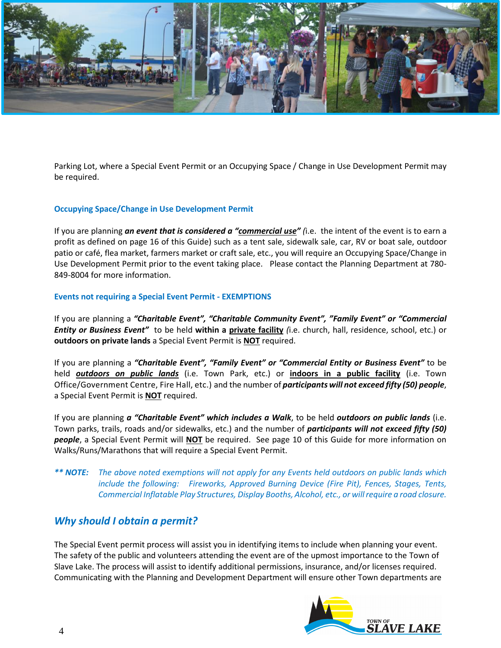

Parking Lot, where a Special Event Permit or an Occupying Space / Change in Use Development Permit may be required.

#### **Occupying Space/Change in Use Development Permit**

If you are planning *an event that is considered a "commercial use" (*i.e. the intent of the event is to earn a profit as defined on page 16 of this Guide) such as a tent sale, sidewalk sale, car, RV or boat sale, outdoor patio or café, flea market, farmers market or craft sale, etc., you will require an Occupying Space/Change in Use Development Permit prior to the event taking place. Please contact the Planning Department at 780- 849-8004 for more information.

#### **Events not requiring a Special Event Permit - EXEMPTIONS**

If you are planning a *"Charitable Event", "Charitable Community Event", "Family Event" or "Commercial Entity or Business Event"* to be held **within a private facility** *(*i.e. church, hall, residence, school, etc.) or **outdoors on private lands** a Special Event Permit is **NOT** required.

If you are planning a *"Charitable Event", "Family Event" or "Commercial Entity or Business Event"* to be held *outdoors on public lands* (i.e. Town Park, etc.) or **indoors in a public facility** (i.e. Town Office/Government Centre, Fire Hall, etc.) and the number of *participants will not exceed fifty (50) people*, a Special Event Permit is **NOT** required.

If you are planning *a "Charitable Event" which includes a Walk*, to be held *outdoors on public lands* (i.e. Town parks, trails, roads and/or sidewalks, etc.) and the number of *participants will not exceed fifty (50) people*, a Special Event Permit will **NOT** be required. See page 10 of this Guide for more information on Walks/Runs/Marathons that will require a Special Event Permit.

*\*\* NOTE: The above noted exemptions will not apply for any Events held outdoors on public lands which include the following: Fireworks, Approved Burning Device (Fire Pit), Fences, Stages, Tents, Commercial Inflatable Play Structures, Display Booths, Alcohol, etc., or will require a road closure.*

#### *Why should I obtain a permit?*

The Special Event permit process will assist you in identifying items to include when planning your event. The safety of the public and volunteers attending the event are of the upmost importance to the Town of Slave Lake. The process will assist to identify additional permissions, insurance, and/or licenses required. Communicating with the Planning and Development Department will ensure other Town departments are

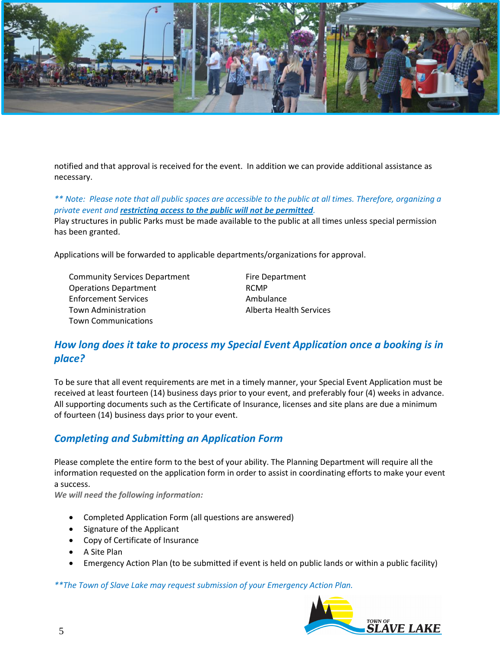

notified and that approval is received for the event. In addition we can provide additional assistance as necessary.

*\*\* Note: Please note that all public spaces are accessible to the public at all times. Therefore, organizing a private event and restricting access to the public will not be permitted.*

Play structures in public Parks must be made available to the public at all times unless special permission has been granted.

Applications will be forwarded to applicable departments/organizations for approval.

Community Services Department Fire Department Operations Department **RCMP** Enforcement Services and Ambulance Town Administration and Alberta Health Services Town Communications

# *How long does it take to process my Special Event Application once a booking is in place?*

To be sure that all event requirements are met in a timely manner, your Special Event Application must be received at least fourteen (14) business days prior to your event, and preferably four (4) weeks in advance. All supporting documents such as the Certificate of Insurance, licenses and site plans are due a minimum of fourteen (14) business days prior to your event.

# *Completing and Submitting an Application Form*

Please complete the entire form to the best of your ability. The Planning Department will require all the information requested on the application form in order to assist in coordinating efforts to make your event a success.

*We will need the following information:*

- Completed Application Form (all questions are answered)
- Signature of the Applicant
- Copy of Certificate of Insurance
- A Site Plan
- Emergency Action Plan (to be submitted if event is held on public lands or within a public facility)

*\*\*The Town of Slave Lake may request submission of your Emergency Action Plan.*

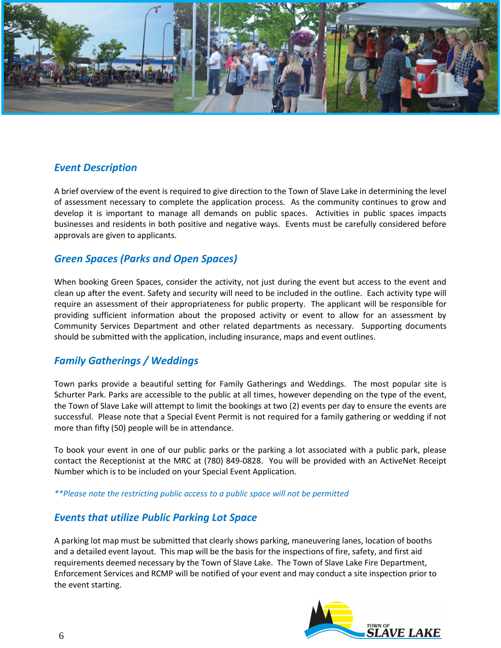

### *Event Description*

A brief overview of the event is required to give direction to the Town of Slave Lake in determining the level of assessment necessary to complete the application process. As the community continues to grow and develop it is important to manage all demands on public spaces. Activities in public spaces impacts businesses and residents in both positive and negative ways. Events must be carefully considered before approvals are given to applicants.

# *Green Spaces (Parks and Open Spaces)*

When booking Green Spaces, consider the activity, not just during the event but access to the event and clean up after the event. Safety and security will need to be included in the outline. Each activity type will require an assessment of their appropriateness for public property. The applicant will be responsible for providing sufficient information about the proposed activity or event to allow for an assessment by Community Services Department and other related departments as necessary. Supporting documents should be submitted with the application, including insurance, maps and event outlines.

# *Family Gatherings / Weddings*

Town parks provide a beautiful setting for Family Gatherings and Weddings. The most popular site is Schurter Park. Parks are accessible to the public at all times, however depending on the type of the event, the Town of Slave Lake will attempt to limit the bookings at two (2) events per day to ensure the events are successful. Please note that a Special Event Permit is not required for a family gathering or wedding if not more than fifty (50) people will be in attendance.

To book your event in one of our public parks or the parking a lot associated with a public park, please contact the Receptionist at the MRC at (780) 849-0828. You will be provided with an ActiveNet Receipt Number which is to be included on your Special Event Application.

*\*\*Please note the restricting public access to a public space will not be permitted*

#### *Events that utilize Public Parking Lot Space*

A parking lot map must be submitted that clearly shows parking, maneuvering lanes, location of booths and a detailed event layout. This map will be the basis for the inspections of fire, safety, and first aid requirements deemed necessary by the Town of Slave Lake. The Town of Slave Lake Fire Department, Enforcement Services and RCMP will be notified of your event and may conduct a site inspection prior to the event starting.

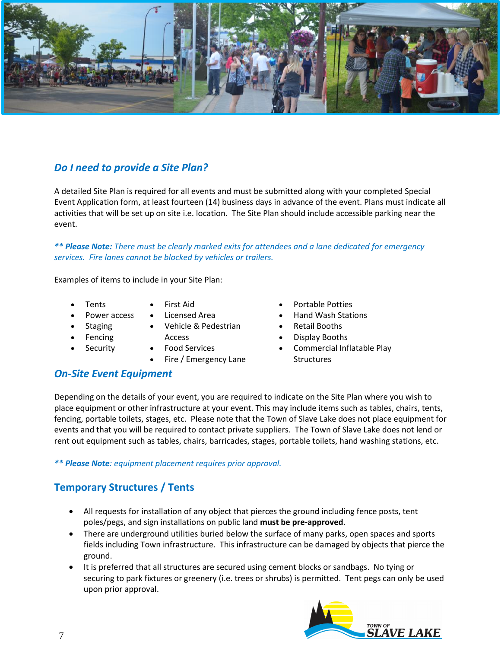

# *Do I need to provide a Site Plan?*

A detailed Site Plan is required for all events and must be submitted along with your completed Special Event Application form, at least fourteen (14) business days in advance of the event. Plans must indicate all activities that will be set up on site i.e. location. The Site Plan should include accessible parking near the event.

*\*\* Please Note: There must be clearly marked exits for attendees and a lane dedicated for emergency services. Fire lanes cannot be blocked by vehicles or trailers.*

Examples of items to include in your Site Plan:

- **Tents**
- First Aid
- Power access • Licensed Area
	- Vehicle & Pedestrian
- **Fencing**

**Staging** 

**Security** 

- Access • Food Services
	- Fire / Emergency Lane
- Portable Potties
- Hand Wash Stations
- Retail Booths
- Display Booths
- Commercial Inflatable Play **Structures**

#### *On-Site Event Equipment*

Depending on the details of your event, you are required to indicate on the Site Plan where you wish to place equipment or other infrastructure at your event. This may include items such as tables, chairs, tents, fencing, portable toilets, stages, etc. Please note that the Town of Slave Lake does not place equipment for events and that you will be required to contact private suppliers. The Town of Slave Lake does not lend or rent out equipment such as tables, chairs, barricades, stages, portable toilets, hand washing stations, etc.

*\*\* Please Note: equipment placement requires prior approval.* 

## **Temporary Structures / Tents**

- All requests for installation of any object that pierces the ground including fence posts, tent poles/pegs, and sign installations on public land **must be pre-approved**.
- There are underground utilities buried below the surface of many parks, open spaces and sports fields including Town infrastructure. This infrastructure can be damaged by objects that pierce the ground.
- It is preferred that all structures are secured using cement blocks or sandbags. No tying or securing to park fixtures or greenery (i.e. trees or shrubs) is permitted. Tent pegs can only be used upon prior approval.

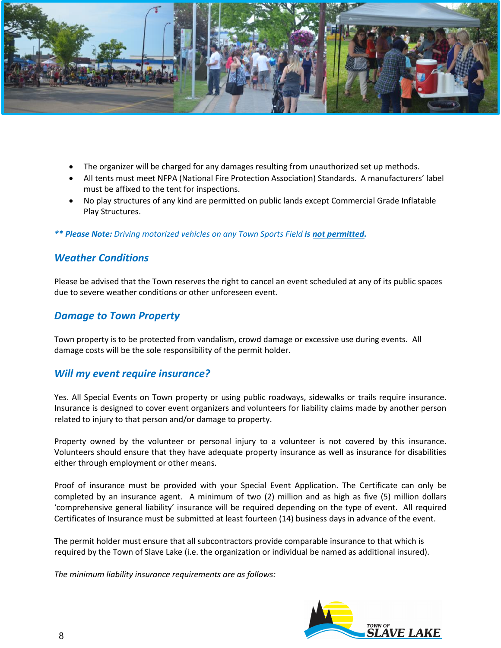

- The organizer will be charged for any damages resulting from unauthorized set up methods.
- All tents must meet NFPA (National Fire Protection Association) Standards. A manufacturers' label must be affixed to the tent for inspections.
- No play structures of any kind are permitted on public lands except Commercial Grade Inflatable Play Structures.

*\*\* Please Note: Driving motorized vehicles on any Town Sports Field is not permitted.*

#### *Weather Conditions*

Please be advised that the Town reserves the right to cancel an event scheduled at any of its public spaces due to severe weather conditions or other unforeseen event.

#### *Damage to Town Property*

Town property is to be protected from vandalism, crowd damage or excessive use during events. All damage costs will be the sole responsibility of the permit holder.

#### *Will my event require insurance?*

Yes. All Special Events on Town property or using public roadways, sidewalks or trails require insurance. Insurance is designed to cover event organizers and volunteers for liability claims made by another person related to injury to that person and/or damage to property.

Property owned by the volunteer or personal injury to a volunteer is not covered by this insurance. Volunteers should ensure that they have adequate property insurance as well as insurance for disabilities either through employment or other means.

Proof of insurance must be provided with your Special Event Application. The Certificate can only be completed by an insurance agent. A minimum of two (2) million and as high as five (5) million dollars 'comprehensive general liability' insurance will be required depending on the type of event. All required Certificates of Insurance must be submitted at least fourteen (14) business days in advance of the event.

The permit holder must ensure that all subcontractors provide comparable insurance to that which is required by the Town of Slave Lake (i.e. the organization or individual be named as additional insured).

*The minimum liability insurance requirements are as follows:*

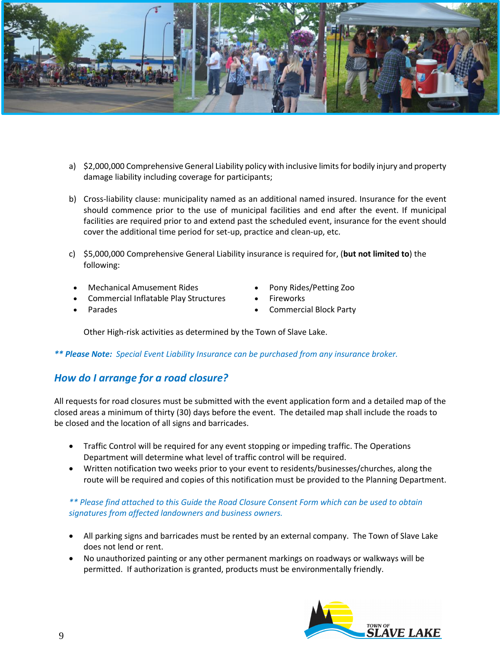

- a) \$2,000,000 Comprehensive General Liability policy with inclusive limits for bodily injury and property damage liability including coverage for participants;
- b) Cross-liability clause: municipality named as an additional named insured. Insurance for the event should commence prior to the use of municipal facilities and end after the event. If municipal facilities are required prior to and extend past the scheduled event, insurance for the event should cover the additional time period for set-up, practice and clean-up, etc.
- c) \$5,000,000 Comprehensive General Liability insurance is required for, (**but not limited to**) the following:
	- Mechanical Amusement Rides
	- Commercial Inflatable Play Structures
		- Parades
- Pony Rides/Petting Zoo
- **Fireworks**
- Commercial Block Party

Other High-risk activities as determined by the Town of Slave Lake.

*\*\* Please Note: Special Event Liability Insurance can be purchased from any insurance broker.*

# *How do I arrange for a road closure?*

All requests for road closures must be submitted with the event application form and a detailed map of the closed areas a minimum of thirty (30) days before the event. The detailed map shall include the roads to be closed and the location of all signs and barricades.

- Traffic Control will be required for any event stopping or impeding traffic. The Operations Department will determine what level of traffic control will be required.
- Written notification two weeks prior to your event to residents/businesses/churches, along the route will be required and copies of this notification must be provided to the Planning Department.

#### *\*\* Please find attached to this Guide the Road Closure Consent Form which can be used to obtain signatures from affected landowners and business owners.*

- All parking signs and barricades must be rented by an external company. The Town of Slave Lake does not lend or rent.
- No unauthorized painting or any other permanent markings on roadways or walkways will be permitted. If authorization is granted, products must be environmentally friendly.

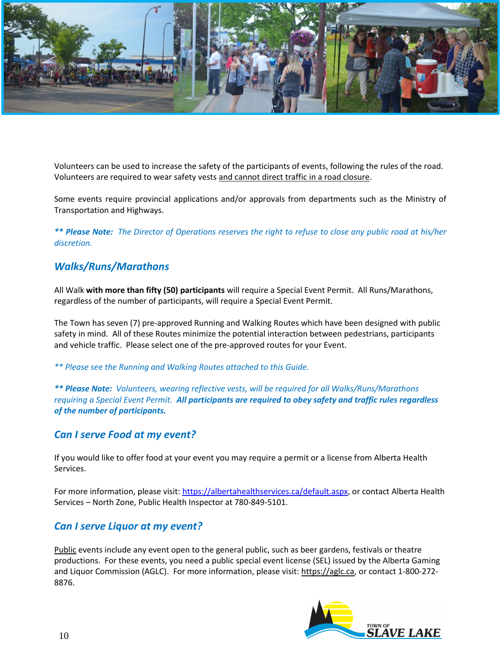

Volunteers can be used to increase the safety of the participants of events, following the rules of the road. Volunteers are required to wear safety vests and cannot direct traffic in a road closure.

Some events require provincial applications and/or approvals from departments such as the Ministry of Transportation and Highways.

*\*\* Please Note: The Director of Operations reserves the right to refuse to close any public road at his/her discretion.*

# *Walks/Runs/Marathons*

All Walk **with more than fifty (50) participants** will require a Special Event Permit. All Runs/Marathons, regardless of the number of participants, will require a Special Event Permit.

The Town has seven (7) pre-approved Running and Walking Routes which have been designed with public safety in mind. All of these Routes minimize the potential interaction between pedestrians, participants and vehicle traffic. Please select one of the pre-approved routes for your Event.

*\*\* Please see the Running and Walking Routes attached to this Guide.*

*\*\* Please Note: Volunteers, wearing reflective vests, will be required for all Walks/Runs/Marathons requiring a Special Event Permit. All participants are required to obey safety and traffic rules regardless of the number of participants.*

#### *Can I serve Food at my event?*

If you would like to offer food at your event you may require a permit or a license from Alberta Health Services.

For more information, please visit: [https://albertahealthservices.ca/default.aspx,](https://albertahealthservices.ca/default.aspx) or contact Alberta Health Services – North Zone, Public Health Inspector at 780-849-5101.

## *Can I serve Liquor at my event?*

Public events include any event open to the general public, such as beer gardens, festivals or theatre productions. For these events, you need a public special event license (SEL) issued by the Alberta Gaming and Liquor Commission (AGLC). For more information, please visit: [https://aglc.ca,](https://aglc.ca/) or contact 1-800-272- 8876.

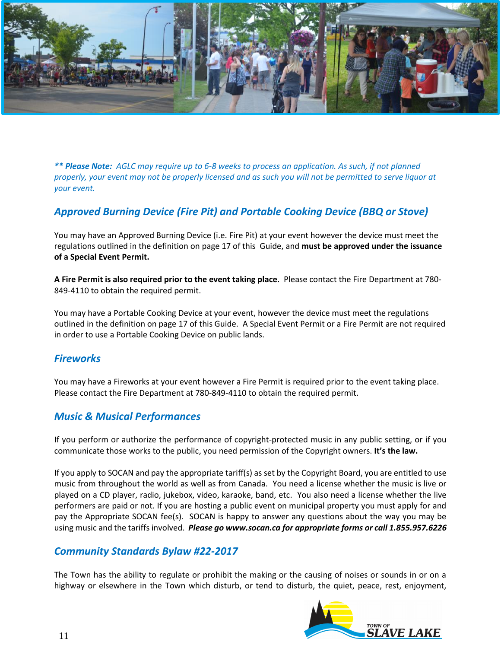

*\*\* Please Note: AGLC may require up to 6-8 weeks to process an application. As such, if not planned properly, your event may not be properly licensed and as such you will not be permitted to serve liquor at your event.* 

# *Approved Burning Device (Fire Pit) and Portable Cooking Device (BBQ or Stove)*

You may have an Approved Burning Device (i.e. Fire Pit) at your event however the device must meet the regulations outlined in the definition on page 17 of this Guide, and **must be approved under the issuance of a Special Event Permit.** 

**A Fire Permit is also required prior to the event taking place.** Please contact the Fire Department at 780- 849-4110 to obtain the required permit.

You may have a Portable Cooking Device at your event, however the device must meet the regulations outlined in the definition on page 17 of this Guide. A Special Event Permit or a Fire Permit are not required in order to use a Portable Cooking Device on public lands.

#### *Fireworks*

You may have a Fireworks at your event however a Fire Permit is required prior to the event taking place. Please contact the Fire Department at 780-849-4110 to obtain the required permit.

# *Music & Musical Performances*

If you perform or authorize the performance of copyright-protected music in any public setting, or if you communicate those works to the public, you need permission of the Copyright owners. **It's the law.**

If you apply to SOCAN and pay the appropriate tariff(s) as set by the Copyright Board, you are entitled to use music from throughout the world as well as from Canada. You need a license whether the music is live or played on a CD player, radio, jukebox, video, karaoke, band, etc. You also need a license whether the live performers are paid or not. If you are hosting a public event on municipal property you must apply for and pay the Appropriate SOCAN fee(s). SOCAN is happy to answer any questions about the way you may be using music and the tariffs involved. *Please go www.socan.ca for appropriate forms or call 1.855.957.6226*

## *Community Standards Bylaw #22-2017*

The Town has the ability to regulate or prohibit the making or the causing of noises or sounds in or on a highway or elsewhere in the Town which disturb, or tend to disturb, the quiet, peace, rest, enjoyment,

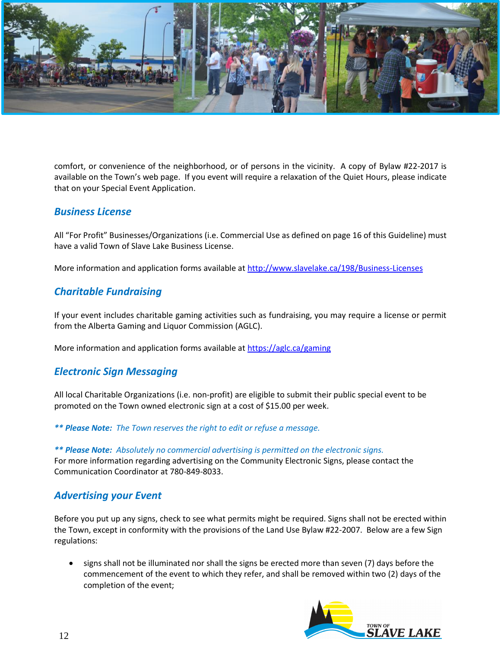

comfort, or convenience of the neighborhood, or of persons in the vicinity. A copy of Bylaw #22-2017 is available on the Town's web page. If you event will require a relaxation of the Quiet Hours, please indicate that on your Special Event Application.

## *Business License*

All "For Profit" Businesses/Organizations (i.e. Commercial Use as defined on page 16 of this Guideline) must have a valid Town of Slave Lake Business License.

More information and application forms available at<http://www.slavelake.ca/198/Business-Licenses>

# *Charitable Fundraising*

If your event includes charitable gaming activities such as fundraising, you may require a license or permit from the Alberta Gaming and Liquor Commission (AGLC).

More information and application forms available at<https://aglc.ca/gaming>

## *Electronic Sign Messaging*

All local Charitable Organizations (i.e. non-profit) are eligible to submit their public special event to be promoted on the Town owned electronic sign at a cost of \$15.00 per week.

*\*\* Please Note: The Town reserves the right to edit or refuse a message.*

*\*\* Please Note: Absolutely no commercial advertising is permitted on the electronic signs.* For more information regarding advertising on the Community Electronic Signs, please contact the Communication Coordinator at 780-849-8033.

## *Advertising your Event*

Before you put up any signs, check to see what permits might be required. Signs shall not be erected within the Town, except in conformity with the provisions of the Land Use Bylaw #22-2007. Below are a few Sign regulations:

signs shall not be illuminated nor shall the signs be erected more than seven (7) days before the commencement of the event to which they refer, and shall be removed within two (2) days of the completion of the event;

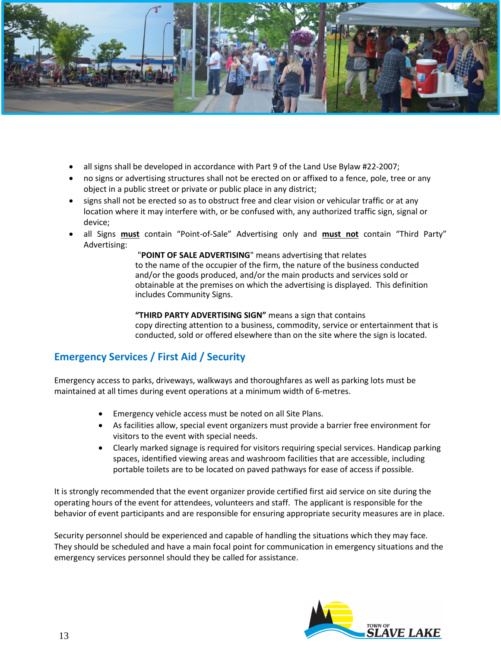

- all signs shall be developed in accordance with Part 9 of the Land Use Bylaw #22-2007;
- no signs or advertising structures shall not be erected on or affixed to a fence, pole, tree or any object in a public street or private or public place in any district;
- signs shall not be erected so as to obstruct free and clear vision or vehicular traffic or at any location where it may interfere with, or be confused with, any authorized traffic sign, signal or device;
- all Signs **must** contain "Point-of-Sale" Advertising only and **must not** contain "Third Party" Advertising:

"**POINT OF SALE ADVERTISING**" means advertising that relates to the name of the occupier of the firm, the nature of the business conducted and/or the goods produced, and/or the main products and services sold or obtainable at the premises on which the advertising is displayed. This definition includes Community Signs.

**"THIRD PARTY ADVERTISING SIGN"** means a sign that contains copy directing attention to a business, commodity, service or entertainment that is conducted, sold or offered elsewhere than on the site where the sign is located.

# **Emergency Services / First Aid / Security**

Emergency access to parks, driveways, walkways and thoroughfares as well as parking lots must be maintained at all times during event operations at a minimum width of 6-metres.

- Emergency vehicle access must be noted on all Site Plans.
- As facilities allow, special event organizers must provide a barrier free environment for visitors to the event with special needs.
- Clearly marked signage is required for visitors requiring special services. Handicap parking spaces, identified viewing areas and washroom facilities that are accessible, including portable toilets are to be located on paved pathways for ease of access if possible.

It is strongly recommended that the event organizer provide certified first aid service on site during the operating hours of the event for attendees, volunteers and staff. The applicant is responsible for the behavior of event participants and are responsible for ensuring appropriate security measures are in place.

Security personnel should be experienced and capable of handling the situations which they may face. They should be scheduled and have a main focal point for communication in emergency situations and the emergency services personnel should they be called for assistance.

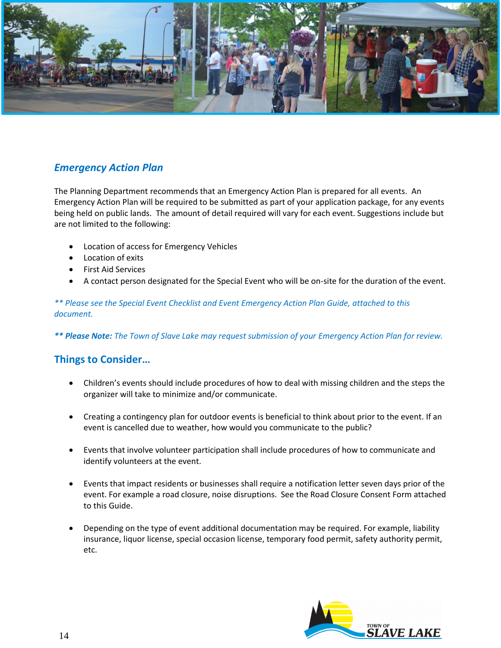

# *Emergency Action Plan*

The Planning Department recommends that an Emergency Action Plan is prepared for all events. An Emergency Action Plan will be required to be submitted as part of your application package, for any events being held on public lands. The amount of detail required will vary for each event. Suggestions include but are not limited to the following:

- Location of access for Emergency Vehicles
- Location of exits
- First Aid Services
- A contact person designated for the Special Event who will be on-site for the duration of the event.

*\*\* Please see the Special Event Checklist and Event Emergency Action Plan Guide, attached to this document.*

*\*\* Please Note: The Town of Slave Lake may request submission of your Emergency Action Plan for review.*

# **Things to Consider…**

- Children's events should include procedures of how to deal with missing children and the steps the organizer will take to minimize and/or communicate.
- Creating a contingency plan for outdoor events is beneficial to think about prior to the event. If an event is cancelled due to weather, how would you communicate to the public?
- Events that involve volunteer participation shall include procedures of how to communicate and identify volunteers at the event.
- Events that impact residents or businesses shall require a notification letter seven days prior of the event. For example a road closure, noise disruptions. See the Road Closure Consent Form attached to this Guide.
- Depending on the type of event additional documentation may be required. For example, liability insurance, liquor license, special occasion license, temporary food permit, safety authority permit, etc.

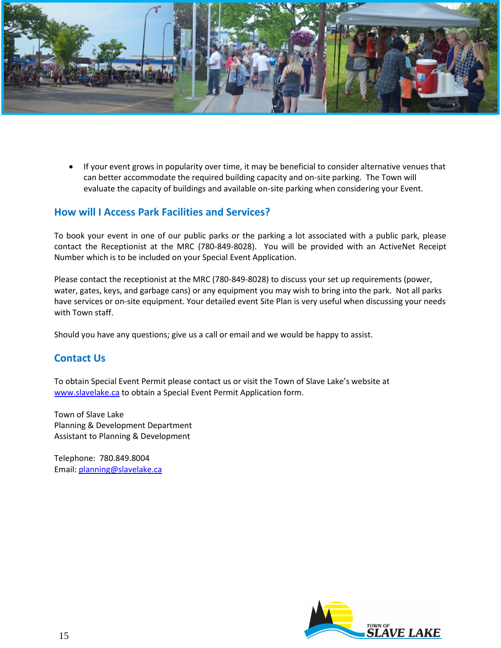

• If your event grows in popularity over time, it may be beneficial to consider alternative venues that can better accommodate the required building capacity and on-site parking. The Town will evaluate the capacity of buildings and available on-site parking when considering your Event.

## **How will I Access Park Facilities and Services?**

To book your event in one of our public parks or the parking a lot associated with a public park, please contact the Receptionist at the MRC (780-849-8028). You will be provided with an ActiveNet Receipt Number which is to be included on your Special Event Application.

Please contact the receptionist at the MRC (780-849-8028) to discuss your set up requirements (power, water, gates, keys, and garbage cans) or any equipment you may wish to bring into the park. Not all parks have services or on-site equipment. Your detailed event Site Plan is very useful when discussing your needs with Town staff.

Should you have any questions; give us a call or email and we would be happy to assist.

# **Contact Us**

To obtain Special Event Permit please contact us or visit the Town of Slave Lake's website at [www.slavelake.ca](http://www.slavelake.ca/) to obtain a Special Event Permit Application form.

Town of Slave Lake Planning & Development Department Assistant to Planning & Development

Telephone: 780.849.8004 Email: [planning@slavelake.ca](mailto:planning@slavelake.ca)

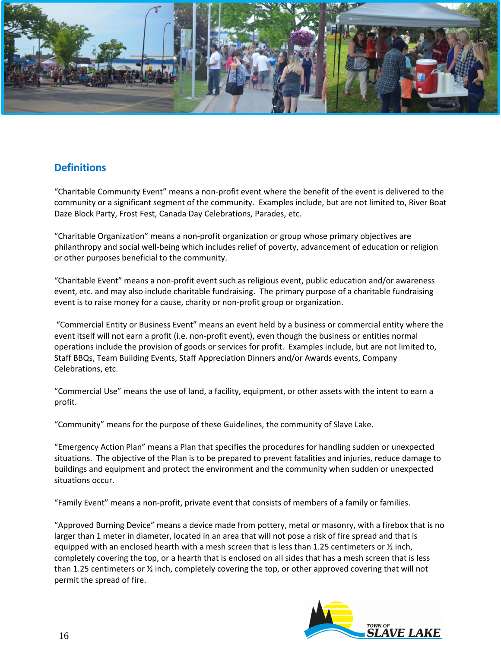

# **Definitions**

"Charitable Community Event" means a non-profit event where the benefit of the event is delivered to the community or a significant segment of the community. Examples include, but are not limited to, River Boat Daze Block Party, Frost Fest, Canada Day Celebrations, Parades, etc.

"Charitable Organization" means a non-profit organization or group whose primary objectives are philanthropy and social well-being which includes relief of poverty, advancement of education or religion or other purposes beneficial to the community.

"Charitable Event" means a non-profit event such as religious event, public education and/or awareness event, etc. and may also include charitable fundraising. The primary purpose of a charitable fundraising event is to raise money for a cause, charity or non-profit group or organization.

"Commercial Entity or Business Event" means an event held by a business or commercial entity where the event itself will not earn a profit (i.e. non-profit event), even though the business or entities normal operations include the provision of goods or services for profit. Examples include, but are not limited to, Staff BBQs, Team Building Events, Staff Appreciation Dinners and/or Awards events, Company Celebrations, etc.

"Commercial Use" means the use of land, a facility, equipment, or other assets with the intent to earn a profit.

"Community" means for the purpose of these Guidelines, the community of Slave Lake.

"Emergency Action Plan" means a Plan that specifies the procedures for handling sudden or unexpected situations. The objective of the Plan is to be prepared to prevent fatalities and injuries, reduce damage to buildings and equipment and protect the environment and the community when sudden or unexpected situations occur.

"Family Event" means a non-profit, private event that consists of members of a family or families.

"Approved Burning Device" means a device made from pottery, metal or masonry, with a firebox that is no larger than 1 meter in diameter, located in an area that will not pose a risk of fire spread and that is equipped with an enclosed hearth with a mesh screen that is less than 1.25 centimeters or  $\frac{1}{2}$  inch, completely covering the top, or a hearth that is enclosed on all sides that has a mesh screen that is less than 1.25 centimeters or ½ inch, completely covering the top, or other approved covering that will not permit the spread of fire.

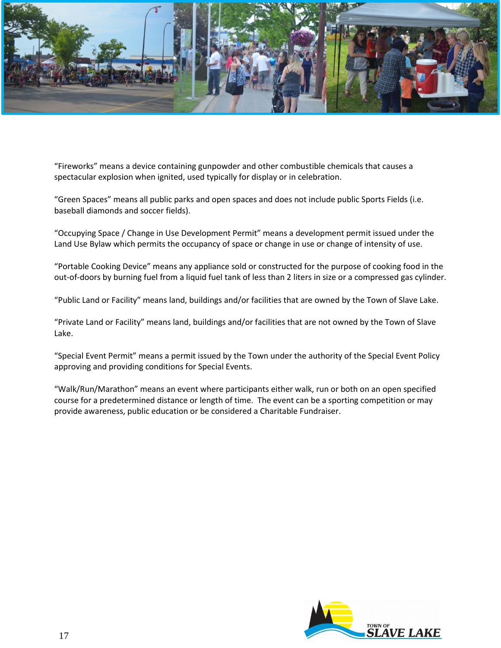

"Fireworks" means a device containing gunpowder and other combustible chemicals that causes a spectacular explosion when ignited, used typically for display or in celebration.

"Green Spaces" means all public parks and open spaces and does not include public Sports Fields (i.e. baseball diamonds and soccer fields).

"Occupying Space / Change in Use Development Permit" means a development permit issued under the Land Use Bylaw which permits the occupancy of space or change in use or change of intensity of use.

"Portable Cooking Device" means any appliance sold or constructed for the purpose of cooking food in the out-of-doors by burning fuel from a liquid fuel tank of less than 2 liters in size or a compressed gas cylinder.

"Public Land or Facility" means land, buildings and/or facilities that are owned by the Town of Slave Lake.

"Private Land or Facility" means land, buildings and/or facilities that are not owned by the Town of Slave Lake.

"Special Event Permit" means a permit issued by the Town under the authority of the Special Event Policy approving and providing conditions for Special Events.

"Walk/Run/Marathon" means an event where participants either walk, run or both on an open specified course for a predetermined distance or length of time. The event can be a sporting competition or may provide awareness, public education or be considered a Charitable Fundraiser.